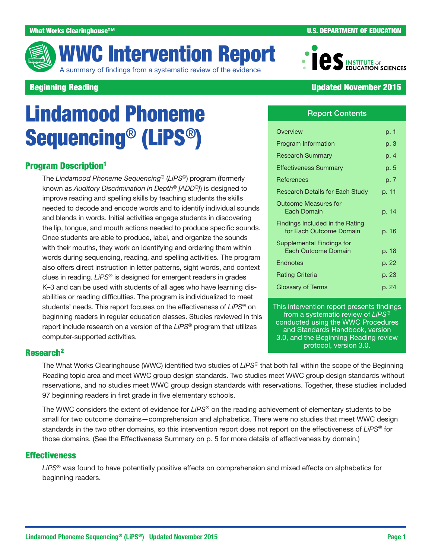

# WWC Intervention Report

A summary of findings from a systematic review of the evidence



# **Beginning Reading Updated November 2015**

# Lindamood Phoneme Sequencing® (LiPS®)

# **Program Description<sup>1</sup>**

The *Lindamood Phoneme Sequencing®* (*LiPS®*) program (formerly known as *Auditory Discrimination in Depth® [ADD®]*) is designed to improve reading and spelling skills by teaching students the skills needed to decode and encode words and to identify individual sounds and blends in words. Initial activities engage students in discovering the lip, tongue, and mouth actions needed to produce specific sounds. Once students are able to produce, label, and organize the sounds with their mouths, they work on identifying and ordering them within words during sequencing, reading, and spelling activities. The program also offers direct instruction in letter patterns, sight words, and context clues in reading. *LiPS®* is designed for emergent readers in grades K–3 and can be used with students of all ages who have learning disabilities or reading difficulties. The program is individualized to meet students' needs. This report focuses on the effectiveness of *LiPS®* on beginning readers in regular education classes. Studies reviewed in this report include research on a version of the *LiPS®* program that utilizes computer-supported activities.

Report Contents

| Overview                                                   | p. 1  |
|------------------------------------------------------------|-------|
| Program Information                                        | p. 3  |
| <b>Research Summary</b>                                    | p. 4  |
| <b>Effectiveness Summary</b>                               | p. 5  |
| <b>References</b>                                          | p. 7  |
| <b>Research Details for Each Study</b>                     | p. 11 |
| <b>Outcome Measures for</b><br>Fach Domain                 | p. 14 |
| Findings Included in the Rating<br>for Each Outcome Domain | p. 16 |
| Supplemental Findings for<br>Each Outcome Domain           | p. 18 |
| Endnotes                                                   | p. 22 |
| <b>Rating Criteria</b>                                     | p. 23 |
| Glossary of Terms                                          | p. 24 |
|                                                            |       |

This intervention report presents findings from a systematic review of *LiPS®* conducted using the [WWC Procedures](http://ies.ed.gov/ncee/wwc/DocumentSum.aspx?sid=19)  [and Standards Handbook,](http://ies.ed.gov/ncee/wwc/DocumentSum.aspx?sid=19) version 3.0, and the [Beginning Reading review](http://ies.ed.gov/ncee/wwc/documentsum.aspx?sid=27)  [protocol,](http://ies.ed.gov/ncee/wwc/documentsum.aspx?sid=27) version 3.0.

# Research<sup>2</sup>

The What Works Clearinghouse (WWC) identified two studies of *LiPS®* that both fall within the scope of the Beginning Reading topic area and meet WWC group design standards. Two studies meet WWC group design standards without reservations, and no studies meet WWC group design standards with reservations. Together, these studies included 97 beginning readers in first grade in five elementary schools.

The WWC considers the extent of evidence for *LiPS®* on the reading achievement of elementary students to be small for two outcome domains—comprehension and alphabetics. There were no studies that meet WWC design standards in the two other domains, so this intervention report does not report on the effectiveness of *LiPS®* for those domains. (See the Effectiveness Summary on p. 5 for more details of effectiveness by domain.)

### **Effectiveness**

*LiPS®* was found to have potentially positive effects on comprehension and mixed effects on alphabetics for beginning readers.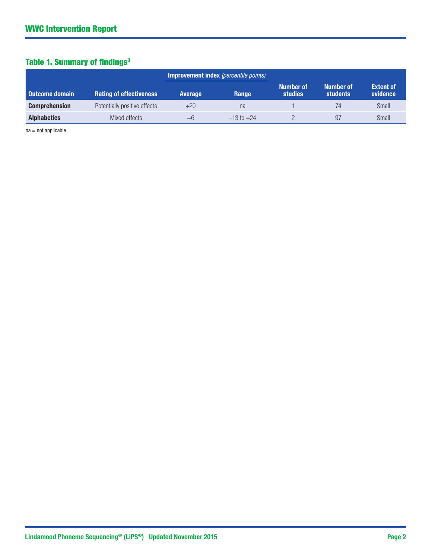# Table 1. Summary of findings<sup>3</sup>

|                       |                                |                | <b>Improvement index</b> (percentile points) |                             |                                     |                              |
|-----------------------|--------------------------------|----------------|----------------------------------------------|-----------------------------|-------------------------------------|------------------------------|
| <b>Outcome domain</b> | <b>Rating of effectiveness</b> | <b>Average</b> | Range                                        | Number of<br><b>studies</b> | <b>Number of</b><br><b>students</b> | <b>Extent of</b><br>evidence |
| <b>Comprehension</b>  | Potentially positive effects   | $+20$          | na                                           |                             | 74                                  | Small                        |
| <b>Alphabetics</b>    | Mixed effects                  | $+6$           | $-13$ to $+24$                               |                             | 97                                  | Small                        |

na = not applicable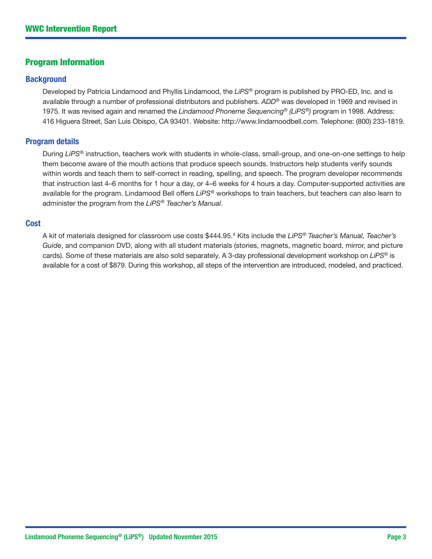# Program Information

#### **Background**

Developed by Patricia Lindamood and Phyllis Lindamood, the *LiPS®* program is published by PRO-ED, Inc. and is available through a number of professional distributors and publishers. *ADD®* was developed in 1969 and revised in 1975. It was revised again and renamed the *Lindamood Phoneme Sequencing® (LiPS®)* program in 1998. Address: 416 Higuera Street, San Luis Obispo, CA 93401. Website:<http://www.lindamoodbell.com>. Telephone: (800) 233-1819.

#### Program details

During *LiPS®* instruction, teachers work with students in whole-class, small-group, and one-on-one settings to help them become aware of the mouth actions that produce speech sounds. Instructors help students verify sounds within words and teach them to self-correct in reading, spelling, and speech. The program developer recommends that instruction last 4–6 months for 1 hour a day, or 4–6 weeks for 4 hours a day. Computer-supported activities are available for the program. Lindamood Bell offers *LiPS®* workshops to train teachers, but teachers can also learn to administer the program from the *LiPS® Teacher's Manual*.

#### **Cost**

A kit of materials designed for classroom use costs \$444.95.4 Kits include the *LiPS® Teacher's Manual, Teacher's Guide*, and companion DVD, along with all student materials (stories, magnets, magnetic board, mirror, and picture cards). Some of these materials are also sold separately. A 3-day professional development workshop on *LiPS®* is available for a cost of \$879. During this workshop, all steps of the intervention are introduced, modeled, and practiced.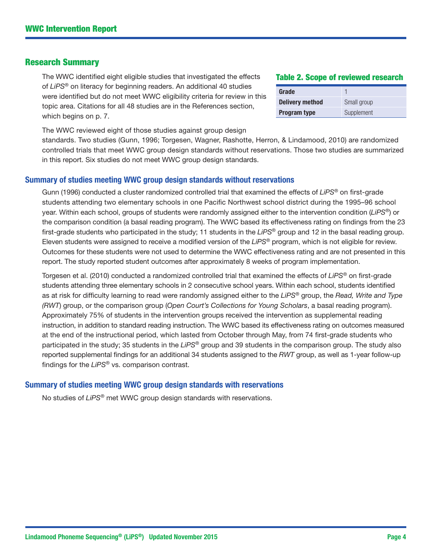#### Research Summary

The WWC identified eight eligible studies that investigated the effects of *LiPS*® on literacy for beginning readers. An additional 40 studies were identified but do not meet WWC eligibility criteria for review in this topic area. Citations for all 48 studies are in the References section, which begins on p. 7.

The WWC reviewed eight of those studies against group design

standards. Two studies (Gunn, 1996; Torgesen, Wagner, Rashotte, Herron, & Lindamood, 2010) are randomized controlled trials that meet WWC group design standards without reservations. Those two studies are summarized in this report. Six studies do not meet WWC group design standards.

#### Summary of studies meeting WWC group design standards without reservations

Gunn (1996) conducted a cluster randomized controlled trial that examined the effects of *LiPS®* on first-grade students attending two elementary schools in one Pacific Northwest school district during the 1995–96 school year. Within each school, groups of students were randomly assigned either to the intervention condition (*LiPS®*) or the comparison condition (a basal reading program). The WWC based its effectiveness rating on findings from the 23 first-grade students who participated in the study; 11 students in the *LiPS®* group and 12 in the basal reading group. Eleven students were assigned to receive a modified version of the *LiPS®* program, which is not eligible for review. Outcomes for these students were not used to determine the WWC effectiveness rating and are not presented in this report. The study reported student outcomes after approximately 8 weeks of program implementation.

Torgesen et al. (2010) conducted a randomized controlled trial that examined the effects of *LiPS®* on first-grade students attending three elementary schools in 2 consecutive school years. Within each school, students identified as at risk for difficulty learning to read were randomly assigned either to the *LiPS®* group, the *Read, Write and Type (RWT*) group, or the comparison group (*Open Court's Collections for Young Scholars*, a basal reading program). Approximately 75% of students in the intervention groups received the intervention as supplemental reading instruction, in addition to standard reading instruction. The WWC based its effectiveness rating on outcomes measured at the end of the instructional period, which lasted from October through May, from 74 first-grade students who participated in the study; 35 students in the *LiPS®* group and 39 students in the comparison group. The study also reported supplemental findings for an additional 34 students assigned to the *RWT* group, as well as 1-year follow-up findings for the *LiPS®* vs. comparison contrast.

#### Summary of studies meeting WWC group design standards with reservations

No studies of *LiPS®* met WWC group design standards with reservations.

# Table 2. Scope of reviewed research

| Grade                  |             |
|------------------------|-------------|
| <b>Delivery method</b> | Small group |
| <b>Program type</b>    | Supplement  |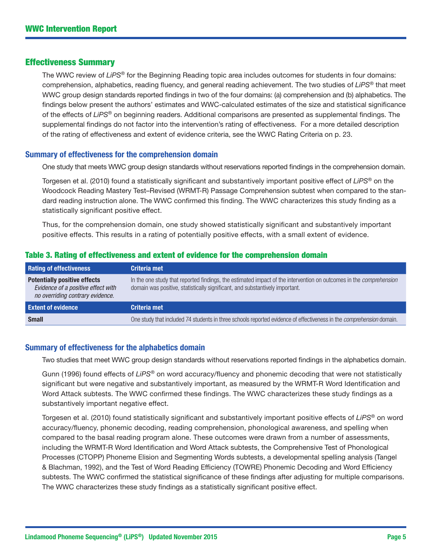#### Effectiveness Summary

The WWC review of *LiPS®* for the Beginning Reading topic area includes outcomes for students in four domains: comprehension, alphabetics, reading fluency, and general reading achievement. The two studies of *LiPS®* that meet WWC group design standards reported findings in two of the four domains: (a) comprehension and (b) alphabetics. The findings below present the authors' estimates and WWC-calculated estimates of the size and statistical significance of the effects of *LiPS®* on beginning readers. Additional comparisons are presented as supplemental findings. The supplemental findings do not factor into the intervention's rating of effectiveness. For a more detailed description of the rating of effectiveness and extent of evidence criteria, see the WWC Rating Criteria on p. 23.

#### Summary of effectiveness for the comprehension domain

One study that meets WWC group design standards without reservations reported findings in the comprehension domain.

Torgesen et al. (2010) found a statistically significant and substantively important positive effect of *LiPS®* on the Woodcock Reading Mastery Test–Revised (WRMT-R) Passage Comprehension subtest when compared to the standard reading instruction alone. The WWC confirmed this finding. The WWC characterizes this study finding as a statistically significant positive effect.

Thus, for the comprehension domain, one study showed statistically significant and substantively important positive effects. This results in a rating of potentially positive effects, with a small extent of evidence.

| <b>Rating of effectiveness</b>                                                                                | Criteria met                                                                                                                                                                                              |
|---------------------------------------------------------------------------------------------------------------|-----------------------------------------------------------------------------------------------------------------------------------------------------------------------------------------------------------|
| <b>Potentially positive effects</b><br>Evidence of a positive effect with<br>no overriding contrary evidence. | In the one study that reported findings, the estimated impact of the intervention on outcomes in the <i>comprehension</i><br>domain was positive, statistically significant, and substantively important. |
| <b>Extent of evidence</b>                                                                                     | Criteria met                                                                                                                                                                                              |
| <b>Small</b>                                                                                                  | One study that included 74 students in three schools reported evidence of effectiveness in the <i>comprehension</i> domain.                                                                               |

#### Table 3. Rating of effectiveness and extent of evidence for the comprehension domain

#### Summary of effectiveness for the alphabetics domain

Two studies that meet WWC group design standards without reservations reported findings in the alphabetics domain.

Gunn (1996) found effects of *LiPS®* on word accuracy/fluency and phonemic decoding that were not statistically significant but were negative and substantively important, as measured by the WRMT-R Word Identification and Word Attack subtests. The WWC confirmed these findings. The WWC characterizes these study findings as a substantively important negative effect.

Torgesen et al. (2010) found statistically significant and substantively important positive effects of *LiPS®* on word accuracy/fluency, phonemic decoding, reading comprehension, phonological awareness, and spelling when compared to the basal reading program alone. These outcomes were drawn from a number of assessments, including the WRMT-R Word Identification and Word Attack subtests, the Comprehensive Test of Phonological Processes (CTOPP) Phoneme Elision and Segmenting Words subtests, a developmental spelling analysis (Tangel & Blachman, 1992), and the Test of Word Reading Efficiency (TOWRE) Phonemic Decoding and Word Efficiency subtests. The WWC confirmed the statistical significance of these findings after adjusting for multiple comparisons. The WWC characterizes these study findings as a statistically significant positive effect.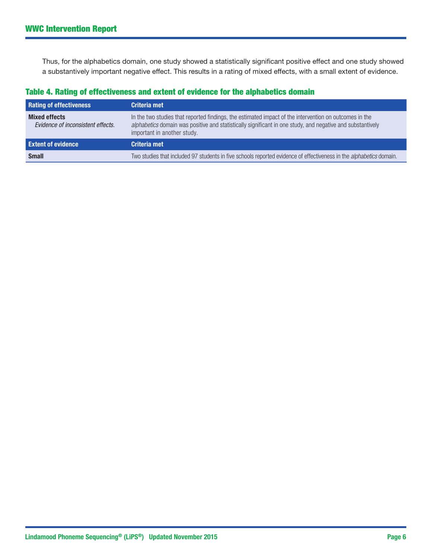Thus, for the alphabetics domain, one study showed a statistically significant positive effect and one study showed a substantively important negative effect. This results in a rating of mixed effects, with a small extent of evidence.

# Table 4. Rating of effectiveness and extent of evidence for the alphabetics domain

| <b>Rating of effectiveness</b>                            | Criteria met                                                                                                                                                                                                                                        |
|-----------------------------------------------------------|-----------------------------------------------------------------------------------------------------------------------------------------------------------------------------------------------------------------------------------------------------|
| <b>Mixed effects</b><br>Evidence of inconsistent effects. | In the two studies that reported findings, the estimated impact of the intervention on outcomes in the<br>alphabetics domain was positive and statistically significant in one study, and negative and substantively<br>important in another study. |
| <b>Extent of evidence</b>                                 | Criteria met                                                                                                                                                                                                                                        |
| <b>Small</b>                                              | Two studies that included 97 students in five schools reported evidence of effectiveness in the alphabetics domain.                                                                                                                                 |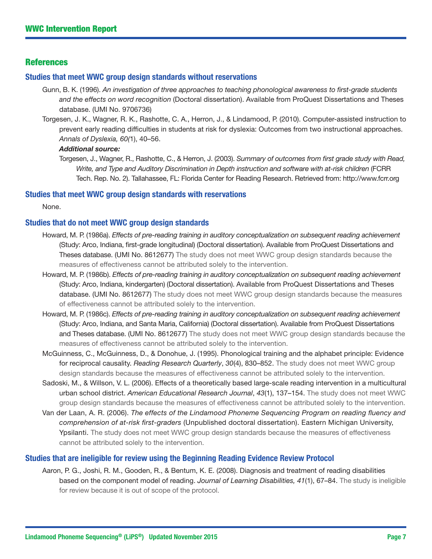### **References**

#### Studies that meet WWC group design standards without reservations

- Gunn, B. K. (1996). *An investigation of three approaches to teaching phonological awareness to first-grade students and the effects on word recognition* (Doctoral dissertation). Available from ProQuest Dissertations and Theses database. (UMI No. 9706736)
- Torgesen, J. K., Wagner, R. K., Rashotte, C. A., Herron, J., & Lindamood, P. (2010). Computer-assisted instruction to prevent early reading difficulties in students at risk for dyslexia: Outcomes from two instructional approaches. *Annals of Dyslexia, 60(*1), 40–56.

#### *Additional source:*

Torgesen, J., Wagner, R., Rashotte, C., & Herron, J. (2003). *Summary of outcomes from first grade study with Read, Write, and Type and Auditory Discrimination in Depth instruction and software with at-risk children* (FCRR Tech. Rep. No. 2). Tallahassee, FL: Florida Center for Reading Research. Retrieved from:<http://www.fcrr.org>

#### Studies that meet WWC group design standards with reservations

None.

### Studies that do not meet WWC group design standards

- Howard, M. P. (1986a). *Effects of pre-reading training in auditory conceptualization on subsequent reading achievement* (Study: Arco, Indiana, first-grade longitudinal) (Doctoral dissertation). Available from ProQuest Dissertations and Theses database. (UMI No. 8612677) The study does not meet WWC group design standards because the measures of effectiveness cannot be attributed solely to the intervention.
- Howard, M. P. (1986b). *Effects of pre-reading training in auditory conceptualization on subsequent reading achievement* (Study: Arco, Indiana, kindergarten) (Doctoral dissertation). Available from ProQuest Dissertations and Theses database. (UMI No. 8612677) The study does not meet WWC group design standards because the measures of effectiveness cannot be attributed solely to the intervention.
- Howard, M. P. (1986c). *Effects of pre-reading training in auditory conceptualization on subsequent reading achievement*  (Study: Arco, Indiana, and Santa Maria, California) (Doctoral dissertation). Available from ProQuest Dissertations and Theses database. (UMI No. 8612677) The study does not meet WWC group design standards because the measures of effectiveness cannot be attributed solely to the intervention.
- McGuinness, C., McGuinness, D., & Donohue, J. (1995). Phonological training and the alphabet principle: Evidence for reciprocal causality. *Reading Research Quarterly*, *30*(4), 830–852. The study does not meet WWC group design standards because the measures of effectiveness cannot be attributed solely to the intervention.
- Sadoski, M., & Willson, V. L. (2006). Effects of a theoretically based large-scale reading intervention in a multicultural urban school district. *American Educational Research Journal*, *43*(1), 137–154. The study does not meet WWC group design standards because the measures of effectiveness cannot be attributed solely to the intervention.
- Van der Laan, A. R. (2006). *The effects of the Lindamood Phoneme Sequencing Program on reading fluency and comprehension of at-risk first-graders* (Unpublished doctoral dissertation). Eastern Michigan University, Ypsilanti. The study does not meet WWC group design standards because the measures of effectiveness cannot be attributed solely to the intervention.

#### Studies that are ineligible for review using the Beginning Reading Evidence Review Protocol

Aaron, P. G., Joshi, R. M., Gooden, R., & Bentum, K. E. (2008). Diagnosis and treatment of reading disabilities based on the component model of reading. *Journal of Learning Disabilities, 41*(1), 67–84. The study is ineligible for review because it is out of scope of the protocol.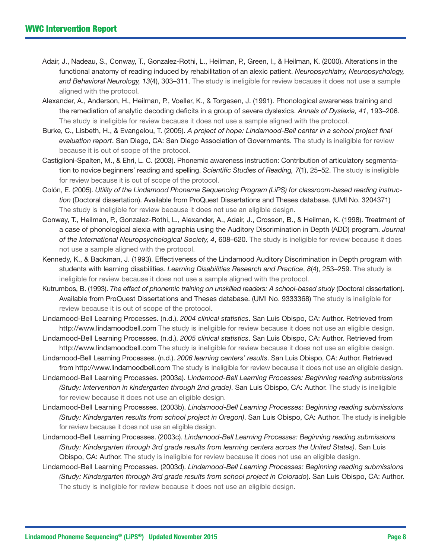- Adair, J., Nadeau, S., Conway, T., Gonzalez-Rothi, L., Heilman, P., Green, I., & Heilman, K. (2000). Alterations in the functional anatomy of reading induced by rehabilitation of an alexic patient. *Neuropsychiatry, Neuropsychology, and Behavioral Neurology, 13*(4), 303–311. The study is ineligible for review because it does not use a sample aligned with the protocol.
- Alexander, A., Anderson, H., Heilman, P., Voeller, K., & Torgesen, J. (1991). Phonological awareness training and the remediation of analytic decoding deficits in a group of severe dyslexics. *Annals of Dyslexia, 41*, 193–206. The study is ineligible for review because it does not use a sample aligned with the protocol.
- Burke, C., Lisbeth, H., & Evangelou, T. (2005). *A project of hope: Lindamood-Bell center in a school project final evaluation report*. San Diego, CA: San Diego Association of Governments. The study is ineligible for review because it is out of scope of the protocol.
- Castiglioni-Spalten, M., & Ehri, L. C. (2003). Phonemic awareness instruction: Contribution of articulatory segmentation to novice beginners' reading and spelling. *Scientific Studies of Reading, 7*(1), 25–52. The study is ineligible for review because it is out of scope of the protocol.
- Colón, E. (2005). *Utility of the Lindamood Phoneme Sequencing Program (LiPS) for classroom-based reading instruction* (Doctoral dissertation). Available from ProQuest Dissertations and Theses database. (UMI No. 3204371) The study is ineligible for review because it does not use an eligible design.
- Conway, T., Heilman, P., Gonzalez-Rothi, L., Alexander, A., Adair, J., Crosson, B., & Heilman, K. (1998). Treatment of a case of phonological alexia with agraphia using the Auditory Discrimination in Depth (ADD) program. *Journal of the International Neuropsychological Society, 4*, 608–620. The study is ineligible for review because it does not use a sample aligned with the protocol.
- Kennedy, K., & Backman, J. (1993). Effectiveness of the Lindamood Auditory Discrimination in Depth program with students with learning disabilities. *Learning Disabilities Research and Practice*, *8*(4), 253–259. The study is ineligible for review because it does not use a sample aligned with the protocol.
- Kutrumbos, B. (1993). *The effect of phonemic training on unskilled readers: A school-based study* (Doctoral dissertation). Available from ProQuest Dissertations and Theses database. (UMI No. 9333368) The study is ineligible for review because it is out of scope of the protocol.
- Lindamood-Bell Learning Processes. (n.d.). *2004 clinical statistics*. San Luis Obispo, CA: Author. Retrieved from <http://www.lindamoodbell.com> The study is ineligible for review because it does not use an eligible design.
- Lindamood-Bell Learning Processes. (n.d.). *2005 clinical statistics*. San Luis Obispo, CA: Author. Retrieved from <http://www.lindamoodbell.com> The study is ineligible for review because it does not use an eligible design.
- Lindamood-Bell Learning Processes. (n.d.). *2006 learning centers' results*. San Luis Obispo, CA: Author. Retrieved [from http://www.lindamoodbell.com](http://www.lindamoodbell.com) The study is ineligible for review because it does not use an eligible design.
- Lindamood-Bell Learning Processes. (2003a). *Lindamood-Bell Learning Processes: Beginning reading submissions (Study: Intervention in kindergarten through 2nd grade)*. San Luis Obispo, CA: Author. The study is ineligible for review because it does not use an eligible design.
- Lindamood-Bell Learning Processes. (2003b). *Lindamood-Bell Learning Processes: Beginning reading submissions (Study: Kindergarten results from school project in Oregon)*. San Luis Obispo, CA: Author. The study is ineligible for review because it does not use an eligible design.
- Lindamood-Bell Learning Processes. (2003c). *Lindamood-Bell Learning Processes: Beginning reading submissions (Study: Kindergarten through 3rd grade results from learning centers across the United States)*. San Luis Obispo, CA: Author. The study is ineligible for review because it does not use an eligible design.
- Lindamood-Bell Learning Processes. (2003d). *Lindamood-Bell Learning Processes: Beginning reading submissions (Study: Kindergarten through 3rd grade results from school project in Colorado*). San Luis Obispo, CA: Author. The study is ineligible for review because it does not use an eligible design.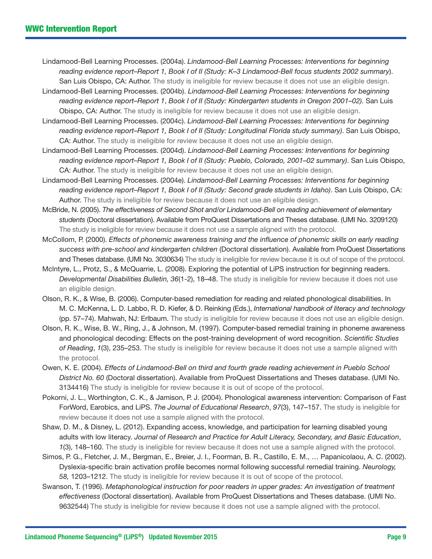- Lindamood-Bell Learning Processes. (2004a). *Lindamood-Bell Learning Processes: Interventions for beginning reading evidence report–Report 1, Book I of II (Study: K–3 Lindamood-Bell focus students 2002 summary*). San Luis Obispo, CA: Author. The study is ineligible for review because it does not use an eligible design.
- Lindamood-Bell Learning Processes. (2004b). *Lindamood-Bell Learning Processes: Interventions for beginning reading evidence report–Report 1*, *Book I of II (Study: Kindergarten students in Oregon 2001–02)*. San Luis Obispo, CA: Author. The study is ineligible for review because it does not use an eligible design.
- Lindamood-Bell Learning Processes. (2004c). *Lindamood-Bell Learning Processes: Interventions for beginning reading evidence report–Report 1, Book I of II (Study: Longitudinal Florida study summary)*. San Luis Obispo, CA: Author. The study is ineligible for review because it does not use an eligible design.
- Lindamood-Bell Learning Processes. (2004d). *Lindamood-Bell Learning Processes: Interventions for beginning reading evidence report–Report 1, Book I of II (Study: Pueblo, Colorado, 2001–02 summary)*. San Luis Obispo, CA: Author. The study is ineligible for review because it does not use an eligible design.
- Lindamood-Bell Learning Processes. (2004e). *Lindamood-Bell Learning Processes: Interventions for beginning reading evidence report–Report 1, Book I of II (Study: Second grade students in Idaho)*. San Luis Obispo, CA: Author. The study is ineligible for review because it does not use an eligible design.
- McBride, N. (2005). *The effectiveness of Second Shot and/or Lindamood-Bell on reading achievement of elementary students* (Doctoral dissertation). Available from ProQuest Dissertations and Theses database. (UMI No. 3209120) The study is ineligible for review because it does not use a sample aligned with the protocol.
- McCollom, P. (2000). *Effects of phonemic awareness training and the influence of phonemic skills on early reading success with pre-school and kindergarten children* (Doctoral dissertation). Available from ProQuest Dissertations and Theses database. (UMI No. 3030634) The study is ineligible for review because it is out of scope of the protocol.
- Mclntyre, L., Protz, S., & McQuarrie, L. (2008). Exploring the potential of LiPS instruction for beginning readers. *Developmental Disabilities Bulletin, 36*(1-2), 18–48. The study is ineligible for review because it does not use an eligible design.
- Olson, R. K., & Wise, B. (2006). Computer-based remediation for reading and related phonological disabilities. In M. C. McKenna, L. D. Labbo, R. D. Kiefer, & D. Reinking (Eds.), *International handbook of literacy and technology* (pp. 57–74). Mahwah, NJ: Erlbaum. The study is ineligible for review because it does not use an eligible design.
- Olson, R. K., Wise, B. W., Ring, J., & Johnson, M. (1997). Computer-based remedial training in phoneme awareness and phonological decoding: Effects on the post-training development of word recognition. *Scientific Studies of Reading*, *1*(3), 235–253. The study is ineligible for review because it does not use a sample aligned with the protocol.
- Owen, K. E. (2004). *Effects of Lindamood-Bell on third and fourth grade reading achievement in Pueblo School District No. 60* (Doctoral dissertation). Available from ProQuest Dissertations and Theses database. (UMI No. 3134416) The study is ineligible for review because it is out of scope of the protocol.
- Pokorni, J. L., Worthington, C. K., & Jamison, P. J. (2004). Phonological awareness intervention: Comparison of Fast ForWord, Earobics, and LiPS. *The Journal of Educational Research*, *97*(3), 147–157. The study is ineligible for review because it does not use a sample aligned with the protocol.
- Shaw, D. M., & Disney, L. (2012). Expanding access, knowledge, and participation for learning disabled young adults with low literacy. *Journal of Research and Practice for Adult Literacy, Secondary, and Basic Education*, *1*(3), 148–160. The study is ineligible for review because it does not use a sample aligned with the protocol.
- Simos, P. G., Fletcher, J. M., Bergman, E., Breier, J. I., Foorman, B. R., Castillo, E. M., … Papanicolaou, A. C. (2002). Dyslexia-specific brain activation profile becomes normal following successful remedial training. *Neurology, 58,* 1203–1212. The study is ineligible for review because it is out of scope of the protocol.
- Swanson, T. (1996). *Metaphonological instruction for poor readers in upper grades: An investigation of treatment effectiveness* (Doctoral dissertation). Available from ProQuest Dissertations and Theses database. (UMI No. 9632544) The study is ineligible for review because it does not use a sample aligned with the protocol.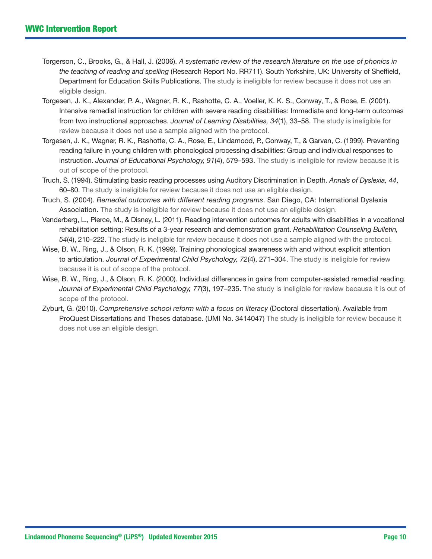- Torgerson, C., Brooks, G., & Hall, J. (2006). *A systematic review of the research literature on the use of phonics in the teaching of reading and spelling* (Research Report No. RR711). South Yorkshire, UK: University of Sheffield, Department for Education Skills Publications. The study is ineligible for review because it does not use an eligible design.
- Torgesen, J. K., Alexander, P. A., Wagner, R. K., Rashotte, C. A., Voeller, K. K. S., Conway, T., & Rose, E. (2001). Intensive remedial instruction for children with severe reading disabilities: Immediate and long-term outcomes from two instructional approaches. *Journal of Learning Disabilities, 34*(1), 33–58. The study is ineligible for review because it does not use a sample aligned with the protocol.
- Torgesen, J. K., Wagner, R. K., Rashotte, C. A., Rose, E., Lindamood, P., Conway, T., & Garvan, C. (1999). Preventing reading failure in young children with phonological processing disabilities: Group and individual responses to instruction. *Journal of Educational Psychology, 91*(4), 579–593. The study is ineligible for review because it is out of scope of the protocol.
- Truch, S. (1994). Stimulating basic reading processes using Auditory Discrimination in Depth. *Annals of Dyslexia, 44*, 60–80. The study is ineligible for review because it does not use an eligible design.
- Truch, S. (2004). *Remedial outcomes with different reading programs*. San Diego, CA: International Dyslexia Association. The study is ineligible for review because it does not use an eligible design.
- Vanderberg, L., Pierce, M., & Disney, L. (2011). Reading intervention outcomes for adults with disabilities in a vocational rehabilitation setting: Results of a 3-year research and demonstration grant. *Rehabilitation Counseling Bulletin, 54*(4), 210–222. The study is ineligible for review because it does not use a sample aligned with the protocol.
- Wise, B. W., Ring, J., & Olson, R. K. (1999). Training phonological awareness with and without explicit attention to articulation. *Journal of Experimental Child Psychology, 72*(4), 271–304. The study is ineligible for review because it is out of scope of the protocol.
- Wise, B. W., Ring, J., & Olson, R. K. (2000). Individual differences in gains from computer-assisted remedial reading. *Journal of Experimental Child Psychology, 77*(3), 197–235. The study is ineligible for review because it is out of scope of the protocol.
- Zyburt, G. (2010). *Comprehensive school reform with a focus on literacy* (Doctoral dissertation). Available from ProQuest Dissertations and Theses database. (UMI No. 3414047) The study is ineligible for review because it does not use an eligible design.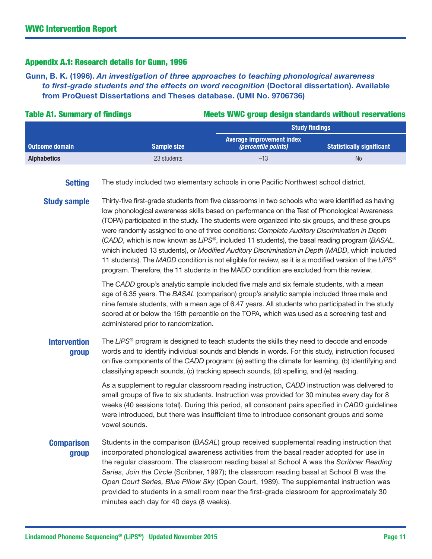#### Appendix A.1: Research details for Gunn, 1996

Gunn, B. K. (1996). *An investigation of three approaches to teaching phonological awareness to first-grade students and the effects on word recognition* (Doctoral dissertation). Available from ProQuest Dissertations and Theses database. (UMI No. 9706736)

| <b>Table A1. Summary of findings</b> |                    | <b>Meets WWC group design standards without reservations</b>                        |                                  |  |  |
|--------------------------------------|--------------------|-------------------------------------------------------------------------------------|----------------------------------|--|--|
|                                      |                    | <b>Study findings</b>                                                               |                                  |  |  |
| <b>Outcome domain</b>                | <b>Sample size</b> | <b>Average improvement index</b><br><i>(percentile points)</i>                      | <b>Statistically significant</b> |  |  |
| <b>Alphabetics</b>                   | 23 students        | $-13$                                                                               | N <sub>0</sub>                   |  |  |
| <b>Setting</b>                       |                    | The study included two elementary schools in one Pacific Northwest school district. |                                  |  |  |

**Study sample** Thirty-five first-grade students from five classrooms in two schools who were identified as having low phonological awareness skills based on performance on the Test of Phonological Awareness (TOPA) participated in the study. The students were organized into six groups, and these groups were randomly assigned to one of three conditions: *Complete Auditory Discrimination in Depth*  (*CADD*, which is now known as *LiPS®*, included 11 students), the basal reading program (*BASAL*, which included 13 students), or *Modified Auditory Discrimination in Depth* (*MADD*, which included 11 students). The *MADD* condition is not eligible for review, as it is a modified version of the *LiPS®* program. Therefore, the 11 students in the MADD condition are excluded from this review.

> The *CADD* group's analytic sample included five male and six female students, with a mean age of 6.35 years. The *BASAL* (comparison) group's analytic sample included three male and nine female students, with a mean age of 6.47 years. All students who participated in the study scored at or below the 15th percentile on the TOPA, which was used as a screening test and administered prior to randomization.

Intervention group The *LiPS®* program is designed to teach students the skills they need to decode and encode words and to identify individual sounds and blends in words. For this study, instruction focused on five components of the *CADD* program: (a) setting the climate for learning, (b) identifying and classifying speech sounds, (c) tracking speech sounds, (d) spelling, and (e) reading.

> As a supplement to regular classroom reading instruction, *CADD* instruction was delivered to small groups of five to six students. Instruction was provided for 30 minutes every day for 8 weeks (40 sessions total). During this period, all consonant pairs specified in *CADD* guidelines were introduced, but there was insufficient time to introduce consonant groups and some vowel sounds.

#### **Comparison** group Students in the comparison (*BASAL*) group received supplemental reading instruction that incorporated phonological awareness activities from the basal reader adopted for use in the regular classroom. The classroom reading basal at School A was the *Scribner Reading Series*, *Join the Circle* (Scribner, 1997); the classroom reading basal at School B was the *Open Court Series, Blue Pillow Sky* (Open Court, 1989). The supplemental instruction was provided to students in a small room near the first-grade classroom for approximately 30 minutes each day for 40 days (8 weeks).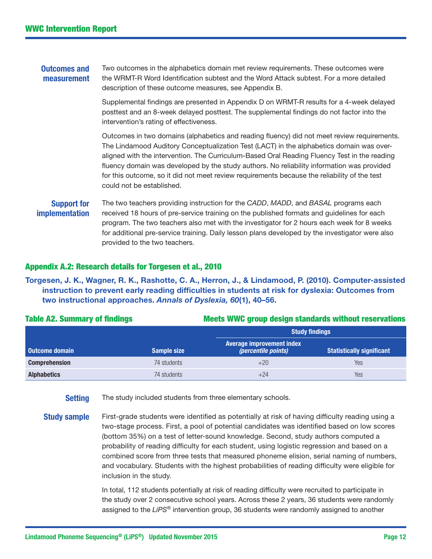Outcomes and measurement Two outcomes in the alphabetics domain met review requirements. These outcomes were the WRMT-R Word Identification subtest and the Word Attack subtest. For a more detailed description of these outcome measures, see Appendix B.

> Supplemental findings are presented in Appendix D on WRMT-R results for a 4-week delayed posttest and an 8-week delayed posttest. The supplemental findings do not factor into the intervention's rating of effectiveness.

Outcomes in two domains (alphabetics and reading fluency) did not meet review requirements. The Lindamood Auditory Conceptualization Test (LACT) in the alphabetics domain was overaligned with the intervention. The Curriculum-Based Oral Reading Fluency Test in the reading fluency domain was developed by the study authors. No reliability information was provided for this outcome, so it did not meet review requirements because the reliability of the test could not be established.

# Support for implementation

The two teachers providing instruction for the *CADD*, *MADD*, and *BASAL* programs each received 18 hours of pre-service training on the published formats and guidelines for each program. The two teachers also met with the investigator for 2 hours each week for 8 weeks for additional pre-service training. Daily lesson plans developed by the investigator were also provided to the two teachers.

### Appendix A.2: Research details for Torgesen et al., 2010

### Torgesen, J. K., Wagner, R. K., Rashotte, C. A., Herron, J., & Lindamood, P. (2010). Computer-assisted instruction to prevent early reading difficulties in students at risk for dyslexia: Outcomes from two instructional approaches. *Annals of Dyslexia, 60*(1), 40–56.

|                       |                    | <b>Study findings</b>                                          |                                  |  |  |
|-----------------------|--------------------|----------------------------------------------------------------|----------------------------------|--|--|
| <b>Outcome domain</b> | <b>Sample size</b> | <b>Average improvement index</b><br><i>(percentile points)</i> | <b>Statistically significant</b> |  |  |
| <b>Comprehension</b>  | 74 students        | $+20$                                                          | Yes                              |  |  |
| <b>Alphabetics</b>    | 74 students        | $+24$                                                          | Yes                              |  |  |

### Table A2. Summary of findings Table 10 and Meets WWC group design standards without reservations

**Setting** The study included students from three elementary schools.

**Study sample** First-grade students were identified as potentially at risk of having difficulty reading using a two-stage process. First, a pool of potential candidates was identified based on low scores (bottom 35%) on a test of letter-sound knowledge. Second, study authors computed a probability of reading difficulty for each student, using logistic regression and based on a combined score from three tests that measured phoneme elision, serial naming of numbers, and vocabulary. Students with the highest probabilities of reading difficulty were eligible for inclusion in the study.

> In total, 112 students potentially at risk of reading difficulty were recruited to participate in the study over 2 consecutive school years. Across these 2 years, 36 students were randomly assigned to the *LiPS®* intervention group, 36 students were randomly assigned to another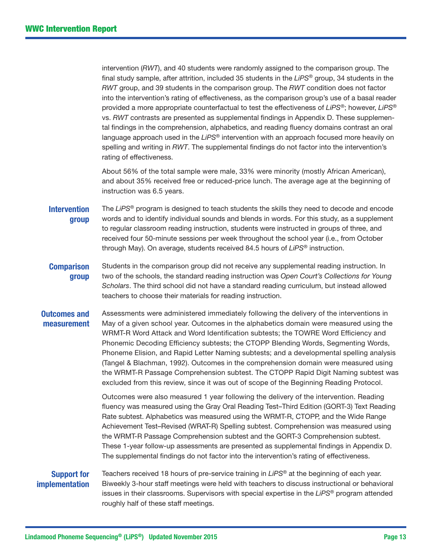intervention (*RWT*), and 40 students were randomly assigned to the comparison group. The final study sample, after attrition, included 35 students in the *LiPS®* group, 34 students in the *RWT* group, and 39 students in the comparison group. The *RWT* condition does not factor into the intervention's rating of effectiveness, as the comparison group's use of a basal reader provided a more appropriate counterfactual to test the effectiveness of *LiPS®*; however, *LiPS®* vs. *RWT* contrasts are presented as supplemental findings in Appendix D. These supplemental findings in the comprehension, alphabetics, and reading fluency domains contrast an oral language approach used in the *LiPS®* intervention with an approach focused more heavily on spelling and writing in *RWT*. The supplemental findings do not factor into the intervention's rating of effectiveness.

About 56% of the total sample were male, 33% were minority (mostly African American), and about 35% received free or reduced-price lunch. The average age at the beginning of instruction was 6.5 years.

- **Intervention** group The *LiPS®* program is designed to teach students the skills they need to decode and encode words and to identify individual sounds and blends in words. For this study, as a supplement to regular classroom reading instruction, students were instructed in groups of three, and received four 50-minute sessions per week throughout the school year (i.e., from October through May). On average, students received 84.5 hours of *LiPS®* instruction.
- **Comparison** group Students in the comparison group did not receive any supplemental reading instruction. In two of the schools, the standard reading instruction was *Open Court's Collections for Young Scholars*. The third school did not have a standard reading curriculum, but instead allowed teachers to choose their materials for reading instruction.
- Outcomes and measurement Assessments were administered immediately following the delivery of the interventions in May of a given school year. Outcomes in the alphabetics domain were measured using the WRMT-R Word Attack and Word Identification subtests; the TOWRE Word Efficiency and Phonemic Decoding Efficiency subtests; the CTOPP Blending Words, Segmenting Words, Phoneme Elision, and Rapid Letter Naming subtests; and a developmental spelling analysis (Tangel & Blachman, 1992). Outcomes in the comprehension domain were measured using the WRMT-R Passage Comprehension subtest. The CTOPP Rapid Digit Naming subtest was excluded from this review, since it was out of scope of the Beginning Reading Protocol.

Outcomes were also measured 1 year following the delivery of the intervention. Reading fluency was measured using the Gray Oral Reading Test–Third Edition (GORT-3) Text Reading Rate subtest. Alphabetics was measured using the WRMT-R, CTOPP, and the Wide Range Achievement Test–Revised (WRAT-R) Spelling subtest. Comprehension was measured using the WRMT-R Passage Comprehension subtest and the GORT-3 Comprehension subtest. These 1-year follow-up assessments are presented as supplemental findings in Appendix D. The supplemental findings do not factor into the intervention's rating of effectiveness.

#### Support for implementation

Teachers received 18 hours of pre-service training in *LiPS®* at the beginning of each year. Biweekly 3-hour staff meetings were held with teachers to discuss instructional or behavioral issues in their classrooms. Supervisors with special expertise in the *LiPS®* program attended roughly half of these staff meetings.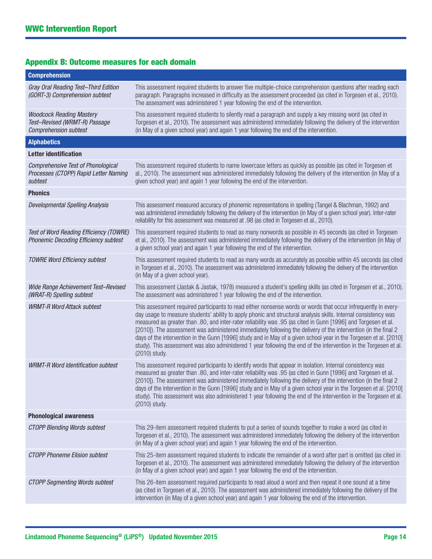| <b>Appendix B: Outcome measures for each domain</b> |  |  |
|-----------------------------------------------------|--|--|
|-----------------------------------------------------|--|--|

| <b>Comprehension</b>                                                                             |                                                                                                                                                                                                                                                                                                                                                                                                                                                                                                                                                                                                                                                                                                                                   |
|--------------------------------------------------------------------------------------------------|-----------------------------------------------------------------------------------------------------------------------------------------------------------------------------------------------------------------------------------------------------------------------------------------------------------------------------------------------------------------------------------------------------------------------------------------------------------------------------------------------------------------------------------------------------------------------------------------------------------------------------------------------------------------------------------------------------------------------------------|
| Gray Oral Reading Test-Third Edition<br>(GORT-3) Comprehension subtest                           | This assessment required students to answer five multiple-choice comprehension questions after reading each<br>paragraph. Paragraphs increased in difficulty as the assessment proceeded (as cited in Torgesen et al., 2010).<br>The assessment was administered 1 year following the end of the intervention.                                                                                                                                                                                                                                                                                                                                                                                                                    |
| <b>Woodcock Reading Mastery</b><br>Test-Revised (WRMT-R) Passage<br><b>Comprehension subtest</b> | This assessment required students to silently read a paragraph and supply a key missing word (as cited in<br>Torgesen et al., 2010). The assessment was administered immediately following the delivery of the intervention<br>(in May of a given school year) and again 1 year following the end of the intervention.                                                                                                                                                                                                                                                                                                                                                                                                            |
| <b>Alphabetics</b>                                                                               |                                                                                                                                                                                                                                                                                                                                                                                                                                                                                                                                                                                                                                                                                                                                   |
| <b>Letter identification</b>                                                                     |                                                                                                                                                                                                                                                                                                                                                                                                                                                                                                                                                                                                                                                                                                                                   |
| <b>Comprehensive Test of Phonological</b><br>Processes (CTOPP) Rapid Letter Naming<br>subtest    | This assessment required students to name lowercase letters as quickly as possible (as cited in Torgesen et<br>al., 2010). The assessment was administered immediately following the delivery of the intervention (in May of a<br>given school year) and again 1 year following the end of the intervention.                                                                                                                                                                                                                                                                                                                                                                                                                      |
| <b>Phonics</b>                                                                                   |                                                                                                                                                                                                                                                                                                                                                                                                                                                                                                                                                                                                                                                                                                                                   |
| <b>Developmental Spelling Analysis</b>                                                           | This assessment measured accuracy of phonemic representations in spelling (Tangel & Blachman, 1992) and<br>was administered immediately following the delivery of the intervention (in May of a given school year). Inter-rater<br>reliability for this assessment was measured at .98 (as cited in Torgesen et al., 2010).                                                                                                                                                                                                                                                                                                                                                                                                       |
| Test of Word Reading Efficiency (TOWRE)<br>Phonemic Decoding Efficiency subtest                  | This assessment required students to read as many nonwords as possible in 45 seconds (as cited in Torgesen<br>et al., 2010). The assessment was administered immediately following the delivery of the intervention (in May of<br>a given school year) and again 1 year following the end of the intervention.                                                                                                                                                                                                                                                                                                                                                                                                                    |
| <b>TOWRE Word Efficiency subtest</b>                                                             | This assessment required students to read as many words as accurately as possible within 45 seconds (as cited<br>in Torgesen et al., 2010). The assessment was administered immediately following the delivery of the intervention<br>(in May of a given school year).                                                                                                                                                                                                                                                                                                                                                                                                                                                            |
| Wide Range Achievement Test-Revised<br>(WRAT-R) Spelling subtest                                 | This assessment (Jastak & Jastak, 1978) measured a student's spelling skills (as cited in Torgesen et al., 2010).<br>The assessment was administered 1 year following the end of the intervention.                                                                                                                                                                                                                                                                                                                                                                                                                                                                                                                                |
| <b>WRMT-R Word Attack subtest</b>                                                                | This assessment required participants to read either nonsense words or words that occur infrequently in every-<br>day usage to measure students' ability to apply phonic and structural analysis skills. Internal consistency was<br>measured as greater than .80, and inter-rater reliability was .95 (as cited in Gunn [1996] and Torgesen et al.<br>[2010]). The assessment was administered immediately following the delivery of the intervention (in the final 2<br>days of the intervention in the Gunn [1996] study and in May of a given school year in the Torgesen et al. [2010]<br>study). This assessment was also administered 1 year following the end of the intervention in the Torgesen et al.<br>(2010) study. |
| <b>WRMT-R Word Identification subtest</b>                                                        | This assessment required participants to identify words that appear in isolation. Internal consistency was<br>measured as greater than .80, and inter-rater reliability was .95 (as cited in Gunn [1996] and Torgesen et al.<br>[2010]). The assessment was administered immediately following the delivery of the intervention (in the final 2<br>days of the intervention in the Gunn [1996] study and in May of a given school year in the Torgesen et al. [2010]<br>study). This assessment was also administered 1 year following the end of the intervention in the Torgesen et al.<br>(2010) study.                                                                                                                        |
| <b>Phonological awareness</b>                                                                    |                                                                                                                                                                                                                                                                                                                                                                                                                                                                                                                                                                                                                                                                                                                                   |
| <b>CTOPP Blending Words subtest</b>                                                              | This 29-item assessment required students to put a series of sounds together to make a word (as cited in<br>Torgesen et al., 2010). The assessment was administered immediately following the delivery of the intervention<br>(in May of a given school year) and again 1 year following the end of the intervention.                                                                                                                                                                                                                                                                                                                                                                                                             |
| <b>CTOPP Phoneme Elision subtest</b>                                                             | This 25-item assessment required students to indicate the remainder of a word after part is omitted (as cited in<br>Torgesen et al., 2010). The assessment was administered immediately following the delivery of the intervention<br>(in May of a given school year) and again 1 year following the end of the intervention.                                                                                                                                                                                                                                                                                                                                                                                                     |
| <b>CTOPP Segmenting Words subtest</b>                                                            | This 26-item assessment required participants to read aloud a word and then repeat it one sound at a time<br>(as cited in Torgesen et al., 2010). The assessment was administered immediately following the delivery of the<br>intervention (in May of a given school year) and again 1 year following the end of the intervention.                                                                                                                                                                                                                                                                                                                                                                                               |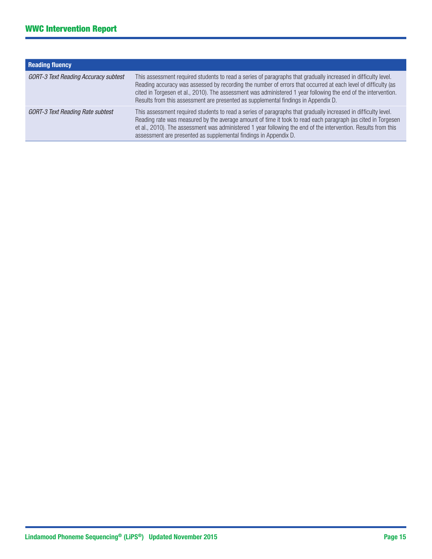| <b>Reading fluency</b>                      |                                                                                                                                                                                                                                                                                                                                                                                                                                         |
|---------------------------------------------|-----------------------------------------------------------------------------------------------------------------------------------------------------------------------------------------------------------------------------------------------------------------------------------------------------------------------------------------------------------------------------------------------------------------------------------------|
| <b>GORT-3 Text Reading Accuracy subtest</b> | This assessment required students to read a series of paragraphs that gradually increased in difficulty level.<br>Reading accuracy was assessed by recording the number of errors that occurred at each level of difficulty (as<br>cited in Torgesen et al., 2010). The assessment was administered 1 year following the end of the intervention.<br>Results from this assessment are presented as supplemental findings in Appendix D. |
| <b>GORT-3 Text Reading Rate subtest</b>     | This assessment required students to read a series of paragraphs that gradually increased in difficulty level.<br>Reading rate was measured by the average amount of time it took to read each paragraph (as cited in Torgesen<br>et al., 2010). The assessment was administered 1 year following the end of the intervention. Results from this<br>assessment are presented as supplemental findings in Appendix D.                    |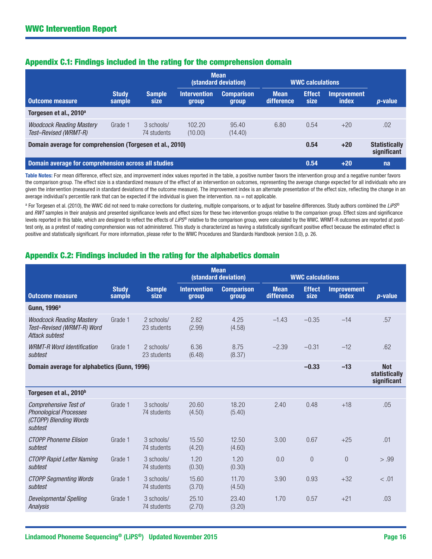|                                                             |                        |                              |                              | <b>Mean</b><br>(standard deviation) | <b>WWC calculations</b>   |                       |                                     |                 |
|-------------------------------------------------------------|------------------------|------------------------------|------------------------------|-------------------------------------|---------------------------|-----------------------|-------------------------------------|-----------------|
| Outcome measure                                             | <b>Study</b><br>sample | <b>Sample</b><br><b>size</b> | <b>Intervention</b><br>group | <b>Comparison</b><br>group          | <b>Mean</b><br>difference | <b>Effect</b><br>size | <b>Improvement</b><br>index         | <i>p</i> -value |
| Torgesen et al., 2010 <sup>a</sup>                          |                        |                              |                              |                                     |                           |                       |                                     |                 |
| <b>Woodcock Reading Mastery</b><br>Test-Revised (WRMT-R)    | Grade 1                | 3 schools/<br>74 students    | 102.20<br>(10.00)            | 95.40<br>(14.40)                    | 6.80                      | 0.54                  | $+20$                               | .02             |
| Domain average for comprehension (Torgesen et al., 2010)    |                        |                              |                              |                                     | 0.54                      | $+20$                 | <b>Statistically</b><br>significant |                 |
| Domain average for comprehension across all studies<br>0.54 |                        |                              |                              |                                     | $+20$                     | na                    |                                     |                 |

# Appendix C.1: Findings included in the rating for the comprehension domain

Table Notes: For mean difference, effect size, and improvement index values reported in the table, a positive number favors the intervention group and a negative number favors the comparison group. The effect size is a standardized measure of the effect of an intervention on outcomes, representing the average change expected for all individuals who are given the intervention (measured in standard deviations of the outcome measure). The improvement index is an alternate presentation of the effect size, reflecting the change in an average individual's percentile rank that can be expected if the individual is given the intervention. na = not applicable.

a For Torgesen et al. (2010), the WWC did not need to make corrections for clustering, multiple comparisons, or to adjust for baseline differences. Study authors combined the *LiPS*® and *RWT* samples in their analysis and presented significance levels and effect sizes for these two intervention groups relative to the comparison group. Effect sizes and significance levels reported in this table, which are designed to reflect the effects of *LiPS*® relative to the comparison group, were calculated by the WWC. WRMT-R outcomes are reported at posttest only, as a pretest of reading comprehension was not administered. This study is characterized as having a statistically significant positive effect because the estimated effect is positive and statistically significant. For more information, please refer to the WWC Procedures and Standards Handbook (version 3.0), p. 26.

# Appendix C.2: Findings included in the rating for the alphabetics domain

|                                                                                             |                        |                           | <b>Mean</b><br>(standard deviation) |                            | <b>WWC calculations</b>   |                       |                                    |                                            |
|---------------------------------------------------------------------------------------------|------------------------|---------------------------|-------------------------------------|----------------------------|---------------------------|-----------------------|------------------------------------|--------------------------------------------|
| <b>Outcome measure</b>                                                                      | <b>Study</b><br>sample | <b>Sample</b><br>size     | <b>Intervention</b><br>group        | <b>Comparison</b><br>group | <b>Mean</b><br>difference | <b>Effect</b><br>size | <b>Improvement</b><br><b>index</b> | <i>p</i> -value                            |
| Gunn, 1996 <sup>a</sup>                                                                     |                        |                           |                                     |                            |                           |                       |                                    |                                            |
| <b>Woodcock Reading Mastery</b><br>Test-Revised (WRMT-R) Word<br>Attack subtest             | Grade 1                | 2 schools/<br>23 students | 2.82<br>(2.99)                      | 4.25<br>(4.58)             | $-1.43$                   | $-0.35$               | $-14$                              | .57                                        |
| <b>WRMT-R Word Identification</b><br>subtest                                                | Grade 1                | 2 schools/<br>23 students | 6.36<br>(6.48)                      | 8.75<br>(8.37)             | $-2.39$                   | $-0.31$               | $-12$                              | .62                                        |
| Domain average for alphabetics (Gunn, 1996)                                                 |                        |                           |                                     |                            |                           | $-0.33$               | $-13$                              | <b>Not</b><br>statistically<br>significant |
| Torgesen et al., 2010 <sup>b</sup>                                                          |                        |                           |                                     |                            |                           |                       |                                    |                                            |
| Comprehensive Test of<br><b>Phonological Processes</b><br>(CTOPP) Blending Words<br>subtest | Grade 1                | 3 schools/<br>74 students | 20.60<br>(4.50)                     | 18.20<br>(5.40)            | 2.40                      | 0.48                  | $+18$                              | .05                                        |
| <b>CTOPP Phoneme Elision</b><br>subtest                                                     | Grade 1                | 3 schools/<br>74 students | 15.50<br>(4.20)                     | 12.50<br>(4.60)            | 3.00                      | 0.67                  | $+25$                              | .01                                        |
| <b>CTOPP Rapid Letter Naming</b><br>subtest                                                 | Grade 1                | 3 schools/<br>74 students | 1.20<br>(0.30)                      | 1.20<br>(0.30)             | 0.0                       | $\overline{0}$        | $\overline{0}$                     | > .99                                      |
| <b>CTOPP Segmenting Words</b><br>subtest                                                    | Grade 1                | 3 schools/<br>74 students | 15.60<br>(3.70)                     | 11.70<br>(4.50)            | 3.90                      | 0.93                  | $+32$                              | < .01                                      |
| <b>Developmental Spelling</b><br><b>Analysis</b>                                            | Grade 1                | 3 schools/<br>74 students | 25.10<br>(2.70)                     | 23.40<br>(3.20)            | 1.70                      | 0.57                  | $+21$                              | .03                                        |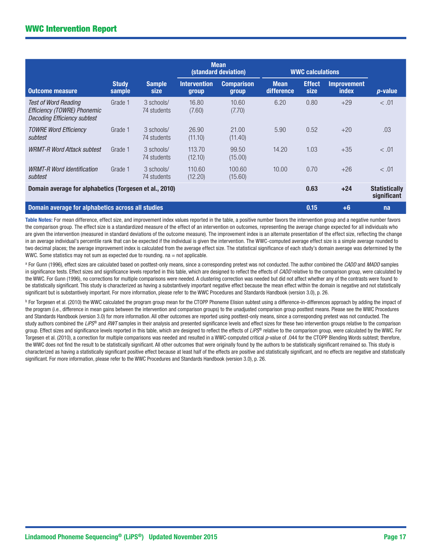|                                                                                                  |                        |                           |                              | <b>Mean</b><br>(standard deviation) |                           | <b>WWC calculations</b> |                                    |                                     |
|--------------------------------------------------------------------------------------------------|------------------------|---------------------------|------------------------------|-------------------------------------|---------------------------|-------------------------|------------------------------------|-------------------------------------|
| <b>Outcome measure</b>                                                                           | <b>Study</b><br>sample | <b>Sample</b><br>size     | <b>Intervention</b><br>group | <b>Comparison</b><br>group          | <b>Mean</b><br>difference | <b>Effect</b><br>size   | <b>Improvement</b><br><i>index</i> | $p$ -value                          |
| <b>Test of Word Reading</b><br>Efficiency (TOWRE) Phonemic<br><b>Decoding Efficiency subtest</b> | Grade 1                | 3 schools/<br>74 students | 16.80<br>(7.60)              | 10.60<br>(7.70)                     | 6.20                      | 0.80                    | $+29$                              | < 0.01                              |
| <b>TOWRE Word Efficiency</b><br>subtest                                                          | Grade 1                | 3 schools/<br>74 students | 26.90<br>(11.10)             | 21.00<br>(11.40)                    | 5.90                      | 0.52                    | $+20$                              | .03                                 |
| <b>WRMT-R Word Attack subtest</b>                                                                | Grade 1                | 3 schools/<br>74 students | 113.70<br>(12.10)            | 99.50<br>(15.00)                    | 14.20                     | 1.03                    | $+35$                              | < .01                               |
| <b>WRMT-R Word Identification</b><br>subtest                                                     | Grade 1                | 3 schools/<br>74 students | 110.60<br>(12.20)            | 100.60<br>(15.60)                   | 10.00                     | 0.70                    | $+26$                              | < 0.01                              |
| Domain average for alphabetics (Torgesen et al., 2010)                                           |                        |                           |                              |                                     |                           | 0.63                    | $+24$                              | <b>Statistically</b><br>significant |
| Domain average for alphabetics across all studies                                                |                        |                           |                              |                                     |                           | 0.15                    | $+6$                               | na                                  |

Table Notes: For mean difference, effect size, and improvement index values reported in the table, a positive number favors the intervention group and a negative number favors the comparison group. The effect size is a standardized measure of the effect of an intervention on outcomes, representing the average change expected for all individuals who are given the intervention (measured in standard deviations of the outcome measure). The improvement index is an alternate presentation of the effect size, reflecting the change in an average individual's percentile rank that can be expected if the individual is given the intervention. The WWC-computed average effect size is a simple average rounded to two decimal places; the average improvement index is calculated from the average effect size. The statistical significance of each study's domain average was determined by the WWC. Some statistics may not sum as expected due to rounding.  $na = not$  applicable.

a For Gunn (1996), effect sizes are calculated based on posttest-only means, since a corresponding pretest was not conducted. The author combined the *CADD* and *MADD* samples in significance tests. Effect sizes and significance levels reported in this table, which are designed to reflect the effects of *CADD* relative to the comparison group, were calculated by the WWC. For Gunn (1996), no corrections for multiple comparisons were needed. A clustering correction was needed but did not affect whether any of the contrasts were found to be statistically significant. This study is characterized as having a substantively important negative effect because the mean effect within the domain is negative and not statistically significant but is substantively important. For more information, please refer to the WWC Procedures and Standards Handbook (version 3.0), p. 26.

<sup>b</sup> For Torgesen et al. (2010) the WWC calculated the program group mean for the CTOPP Phoneme Elision subtest using a difference-in-differences approach by adding the impact of the program (i.e., difference in mean gains between the intervention and comparison groups) to the unadjusted comparison group posttest means. Please see the WWC Procedures and Standards Handbook (version 3.0) for more information. All other outcomes are reported using posttest-only means, since a corresponding pretest was not conducted. The study authors combined the LiPS<sup>®</sup> and RWT samples in their analysis and presented significance levels and effect sizes for these two intervention groups relative to the comparison group. Effect sizes and significance levels reported in this table, which are designed to reflect the effects of *LiPS®* relative to the comparison group, were calculated by the WWC. For Torgesen et al. (2010), a correction for multiple comparisons was needed and resulted in a WWC-computed critical p-value of .044 for the CTOPP Blending Words subtest; therefore, the WWC does not find the result to be statistically significant. All other outcomes that were originally found by the authors to be statistically significant remained so. This study is characterized as having a statistically significant positive effect because at least half of the effects are positive and statistically significant, and no effects are negative and statistically significant. For more information, please refer to the WWC Procedures and Standards Handbook (version 3.0), p. 26.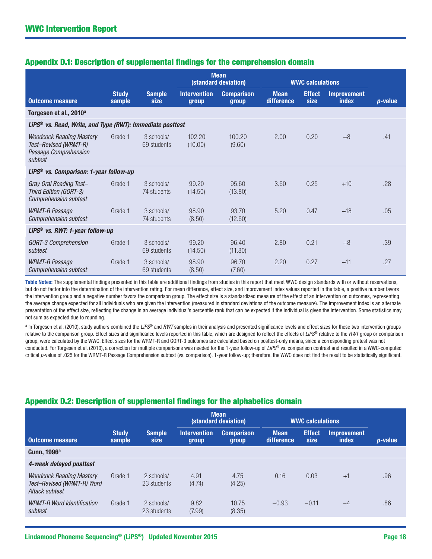|                                                                                              |                        |                           |                              | <b>Mean</b><br>(standard deviation) |                           | <b>WWC calculations</b> |                                    |                 |
|----------------------------------------------------------------------------------------------|------------------------|---------------------------|------------------------------|-------------------------------------|---------------------------|-------------------------|------------------------------------|-----------------|
| <b>Outcome measure</b>                                                                       | <b>Study</b><br>sample | <b>Sample</b><br>size     | <b>Intervention</b><br>group | <b>Comparison</b><br>group          | <b>Mean</b><br>difference | <b>Effect</b><br>size   | <b>Improvement</b><br><b>index</b> | <i>p</i> -value |
| Torgesen et al., 2010 <sup>a</sup>                                                           |                        |                           |                              |                                     |                           |                         |                                    |                 |
| LiPS <sup>®</sup> vs. Read, Write, and Type (RWT): Immediate posttest                        |                        |                           |                              |                                     |                           |                         |                                    |                 |
| <b>Woodcock Reading Mastery</b><br>Test-Revised (WRMT-R)<br>Passage Comprehension<br>subtest | Grade 1                | 3 schools/<br>69 students | 102.20<br>(10.00)            | 100.20<br>(9.60)                    | 2.00                      | 0.20                    | $+8$                               | .41             |
| LiPS <sup>®</sup> vs. Comparison: 1-year follow-up                                           |                        |                           |                              |                                     |                           |                         |                                    |                 |
| Gray Oral Reading Test-<br>Third Edition (GORT-3)<br><b>Comprehension subtest</b>            | Grade 1                | 3 schools/<br>74 students | 99.20<br>(14.50)             | 95.60<br>(13.80)                    | 3.60                      | 0.25                    | $+10$                              | .28             |
| <b>WRMT-R Passage</b><br><b>Comprehension subtest</b>                                        | Grade 1                | 3 schools/<br>74 students | 98.90<br>(8.50)              | 93.70<br>(12.60)                    | 5.20                      | 0.47                    | $+18$                              | .05             |
| LiPS <sup>®</sup> vs. RWT: 1-year follow-up                                                  |                        |                           |                              |                                     |                           |                         |                                    |                 |
| GORT-3 Comprehension<br>subtest                                                              | Grade 1                | 3 schools/<br>69 students | 99.20<br>(14.50)             | 96.40<br>(11.80)                    | 2.80                      | 0.21                    | $+8$                               | .39             |
| <b>WRMT-R Passage</b><br><b>Comprehension subtest</b>                                        | Grade 1                | 3 schools/<br>69 students | 98.90<br>(8.50)              | 96.70<br>(7.60)                     | 2.20                      | 0.27                    | $+11$                              | .27             |

# Appendix D.1: Description of supplemental findings for the comprehension domain

Table Notes: The supplemental findings presented in this table are additional findings from studies in this report that meet WWC design standards with or without reservations, but do not factor into the determination of the intervention rating. For mean difference, effect size, and improvement index values reported in the table, a positive number favors the intervention group and a negative number favors the comparison group. The effect size is a standardized measure of the effect of an intervention on outcomes, representing the average change expected for all individuals who are given the intervention (measured in standard deviations of the outcome measure). The improvement index is an alternate presentation of the effect size, reflecting the change in an average individual's percentile rank that can be expected if the individual is given the intervention. Some statistics may not sum as expected due to rounding.

a In Torgesen et al. (2010), study authors combined the *LiPS*® and *RWT* samples in their analysis and presented significance levels and effect sizes for these two intervention groups relative to the comparison group. Effect sizes and significance levels reported in this table, which are designed to reflect the effects of *LiPS*® relative to the *RWT* group or comparison group, were calculated by the WWC. Effect sizes for the WRMT-R and GORT-3 outcomes are calculated based on posttest-only means, since a corresponding pretest was not conducted. For Torgesen et al. (2010), a correction for multiple comparisons was needed for the 1-year follow-up of *LiPS*® vs. comparison contrast and resulted in a WWC-computed critical *p*-value of .025 for the WRMT-R Passage Comprehension subtest (vs. comparison), 1-year follow-up; therefore, the WWC does not find the result to be statistically significant.

# Appendix D.2: Description of supplemental findings for the alphabetics domain

|                                                                                 |                        |                           |                              | <b>Mean</b><br>(standard deviation) |                           | <b>WWC calculations</b> |                                    |                 |
|---------------------------------------------------------------------------------|------------------------|---------------------------|------------------------------|-------------------------------------|---------------------------|-------------------------|------------------------------------|-----------------|
| <b>Outcome measure</b>                                                          | <b>Study</b><br>sample | <b>Sample</b><br>size     | <b>Intervention</b><br>group | <b>Comparison</b><br>group          | <b>Mean</b><br>difference | <b>Effect</b><br>size   | <b>Improvement</b><br><b>index</b> | <i>p</i> -value |
| Gunn, 1996 <sup>a</sup>                                                         |                        |                           |                              |                                     |                           |                         |                                    |                 |
| 4-week delayed posttest                                                         |                        |                           |                              |                                     |                           |                         |                                    |                 |
| <b>Woodcock Reading Mastery</b><br>Test-Revised (WRMT-R) Word<br>Attack subtest | Grade 1                | 2 schools/<br>23 students | 4.91<br>(4.74)               | 4.75<br>(4.25)                      | 0.16                      | 0.03                    | $+1$                               | .96             |
| <b>WRMT-R Word Identification</b><br>subtest                                    | Grade 1                | 2 schools/<br>23 students | 9.82<br>(7.99)               | 10.75<br>(8.35)                     | $-0.93$                   | $-0.11$                 | $-4$                               | .86             |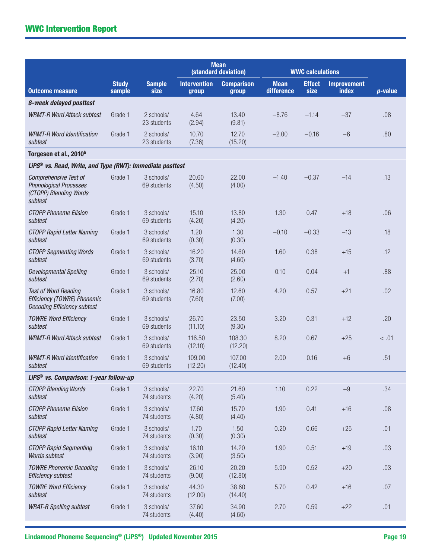|                                                                                                    |                        |                           |                              | <b>Mean</b><br>(standard deviation) |                           | <b>WWC calculations</b> |                             |                 |
|----------------------------------------------------------------------------------------------------|------------------------|---------------------------|------------------------------|-------------------------------------|---------------------------|-------------------------|-----------------------------|-----------------|
| <b>Outcome measure</b>                                                                             | <b>Study</b><br>sample | <b>Sample</b><br>size     | <b>Intervention</b><br>group | <b>Comparison</b><br>group          | <b>Mean</b><br>difference | <b>Effect</b><br>size   | <b>Improvement</b><br>index | <i>p</i> -value |
| 8-week delayed posttest                                                                            |                        |                           |                              |                                     |                           |                         |                             |                 |
| <b>WRMT-R Word Attack subtest</b>                                                                  | Grade 1                | 2 schools/<br>23 students | 4.64<br>(2.94)               | 13.40<br>(9.81)                     | $-8.76$                   | $-1.14$                 | $-37$                       | .08             |
| <b>WRMT-R Word Identification</b><br>subtest                                                       | Grade 1                | 2 schools/<br>23 students | 10.70<br>(7.36)              | 12.70<br>(15.20)                    | $-2.00$                   | $-0.16$                 | $-6$                        | .80             |
| Torgesen et al., 2010 <sup>b</sup>                                                                 |                        |                           |                              |                                     |                           |                         |                             |                 |
| LiPS <sup>®</sup> vs. Read, Write, and Type (RWT): Immediate posttest                              |                        |                           |                              |                                     |                           |                         |                             |                 |
| <b>Comprehensive Test of</b><br><b>Phonological Processes</b><br>(CTOPP) Blending Words<br>subtest | Grade 1                | 3 schools/<br>69 students | 20.60<br>(4.50)              | 22.00<br>(4.00)                     | $-1.40$                   | $-0.37$                 | $-14$                       | .13             |
| <b>CTOPP Phoneme Elision</b><br>subtest                                                            | Grade 1                | 3 schools/<br>69 students | 15.10<br>(4.20)              | 13.80<br>(4.20)                     | 1.30                      | 0.47                    | $+18$                       | .06             |
| <b>CTOPP Rapid Letter Naming</b><br>subtest                                                        | Grade 1                | 3 schools/<br>69 students | 1.20<br>(0.30)               | 1.30<br>(0.30)                      | $-0.10$                   | $-0.33$                 | $-13$                       | .18             |
| <b>CTOPP Segmenting Words</b><br>subtest                                                           | Grade 1                | 3 schools/<br>69 students | 16.20<br>(3.70)              | 14.60<br>(4.60)                     | 1.60                      | 0.38                    | $+15$                       | .12             |
| <b>Developmental Spelling</b><br>subtest                                                           | Grade 1                | 3 schools/<br>69 students | 25.10<br>(2.70)              | 25.00<br>(2.60)                     | 0.10                      | 0.04                    | $+1$                        | .88             |
| <b>Test of Word Reading</b><br>Efficiency (TOWRE) Phonemic<br><b>Decoding Efficiency subtest</b>   | Grade 1                | 3 schools/<br>69 students | 16.80<br>(7.60)              | 12.60<br>(7.00)                     | 4.20                      | 0.57                    | $+21$                       | .02             |
| <b>TOWRE Word Efficiency</b><br>subtest                                                            | Grade 1                | 3 schools/<br>69 students | 26.70<br>(11.10)             | 23.50<br>(9.30)                     | 3.20                      | 0.31                    | $+12$                       | .20             |
| <b>WRMT-R Word Attack subtest</b>                                                                  | Grade 1                | 3 schools/<br>69 students | 116.50<br>(12.10)            | 108.30<br>(12.20)                   | 8.20                      | 0.67                    | $+25$                       | < 0.01          |
| <b>WRMT-R Word Identification</b><br>subtest                                                       | Grade 1                | 3 schools/<br>69 students | 109.00<br>(12.20)            | 107.00<br>(12.40)                   | 2.00                      | 0.16                    | $+6$                        | .51             |
| LiPS <sup>®</sup> vs. Comparison: 1-year follow-up                                                 |                        |                           |                              |                                     |                           |                         |                             |                 |
| <b>CTOPP Blending Words</b><br>subtest                                                             | Grade 1                | 3 schools/<br>74 students | 22.70<br>(4.20)              | 21.60<br>(5.40)                     | 1.10                      | 0.22                    | $+9$                        | .34             |
| <b>CTOPP Phoneme Elision</b><br>subtest                                                            | Grade 1                | 3 schools/<br>74 students | 17.60<br>(4.80)              | 15.70<br>(4.40)                     | 1.90                      | 0.41                    | $+16$                       | .08             |
| <b>CTOPP Rapid Letter Naming</b><br>subtest                                                        | Grade 1                | 3 schools/<br>74 students | 1.70<br>(0.30)               | 1.50<br>(0.30)                      | 0.20                      | 0.66                    | $+25$                       | .01             |
| <b>CTOPP Rapid Segmenting</b><br>Words subtest                                                     | Grade 1                | 3 schools/<br>74 students | 16.10<br>(3.90)              | 14.20<br>(3.50)                     | 1.90                      | 0.51                    | $+19$                       | .03             |
| <b>TOWRE Phonemic Decoding</b><br><b>Efficiency subtest</b>                                        | Grade 1                | 3 schools/<br>74 students | 26.10<br>(9.00)              | 20.20<br>(12.80)                    | 5.90                      | 0.52                    | $+20$                       | .03             |
| <b>TOWRE Word Efficiency</b><br>subtest                                                            | Grade 1                | 3 schools/<br>74 students | 44.30<br>(12.00)             | 38.60<br>(14.40)                    | 5.70                      | 0.42                    | $+16$                       | .07             |
| <b>WRAT-R Spelling subtest</b>                                                                     | Grade 1                | 3 schools/<br>74 students | 37.60<br>(4.40)              | 34.90<br>(4.60)                     | 2.70                      | 0.59                    | $+22$                       | .01             |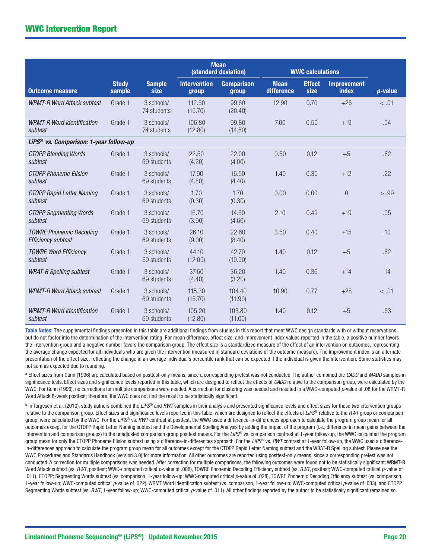|                                                             |                        |                           |                              | <b>Mean</b><br>(standard deviation) |                           | <b>WWC calculations</b> |                                    |            |
|-------------------------------------------------------------|------------------------|---------------------------|------------------------------|-------------------------------------|---------------------------|-------------------------|------------------------------------|------------|
| <b>Outcome measure</b>                                      | <b>Study</b><br>sample | <b>Sample</b><br>size     | <b>Intervention</b><br>group | <b>Comparison</b><br>group          | <b>Mean</b><br>difference | <b>Effect</b><br>size   | <b>Improvement</b><br><b>index</b> | $p$ -value |
| <b>WRMT-R Word Attack subtest</b>                           | Grade 1                | 3 schools/<br>74 students | 112.50<br>(15.70)            | 99.60<br>(20.40)                    | 12.90                     | 0.70                    | $+26$                              | < .01      |
| <b>WRMT-R Word Identification</b><br>subtest                | Grade 1                | 3 schools/<br>74 students | 106.80<br>(12.80)            | 99.80<br>(14.80)                    | 7.00                      | 0.50                    | $+19$                              | .04        |
| LiPS <sup>®</sup> vs. Comparison: 1-year follow-up          |                        |                           |                              |                                     |                           |                         |                                    |            |
| <b>CTOPP Blending Words</b><br>subtest                      | Grade 1                | 3 schools/<br>69 students | 22.50<br>(4.20)              | 22.00<br>(4.00)                     | 0.50                      | 0.12                    | $+5$                               | .62        |
| <b>CTOPP Phoneme Elision</b><br>subtest                     | Grade 1                | 3 schools/<br>69 students | 17.90<br>(4.80)              | 16.50<br>(4.40)                     | 1.40                      | 0.30                    | $+12$                              | .22        |
| <b>CTOPP Rapid Letter Naming</b><br>subtest                 | Grade 1                | 3 schools/<br>69 students | 1.70<br>(0.30)               | 1.70<br>(0.30)                      | 0.00                      | 0.00                    | $\overline{0}$                     | > .99      |
| <b>CTOPP Segmenting Words</b><br>subtest                    | Grade 1                | 3 schools/<br>69 students | 16.70<br>(3.90)              | 14.60<br>(4.60)                     | 2.10                      | 0.49                    | $+19$                              | .05        |
| <b>TOWRE Phonemic Decoding</b><br><b>Efficiency subtest</b> | Grade 1                | 3 schools/<br>69 students | 26.10<br>(9.00)              | 22.60<br>(8.40)                     | 3.50                      | 0.40                    | $+15$                              | .10        |
| <b>TOWRE Word Efficiency</b><br>subtest                     | Grade 1                | 3 schools/<br>69 students | 44.10<br>(12.00)             | 42.70<br>(10.90)                    | 1.40                      | 0.12                    | $+5$                               | .62        |
| <b>WRAT-R Spelling subtest</b>                              | Grade 1                | 3 schools/<br>69 students | 37.60<br>(4.40)              | 36.20<br>(3.20)                     | 1.40                      | 0.36                    | $+14$                              | .14        |
| <b>WRMT-R Word Attack subtest</b>                           | Grade 1                | 3 schools/<br>69 students | 115.30<br>(15.70)            | 104.40<br>(11.90)                   | 10.90                     | 0.77                    | $+28$                              | < .01      |
| <b>WRMT-R Word Identification</b><br>subtest                | Grade 1                | 3 schools/<br>69 students | 105.20<br>(12.80)            | 103.80<br>(11.00)                   | 1.40                      | 0.12                    | $+5$                               | .63        |

Table Notes: The supplemental findings presented in this table are additional findings from studies in this report that meet WWC design standards with or without reservations, but do not factor into the determination of the intervention rating. For mean difference, effect size, and improvement index values reported in the table, a positive number favors the intervention group and a negative number favors the comparison group. The effect size is a standardized measure of the effect of an intervention on outcomes, representing the average change expected for all individuals who are given the intervention (measured in standard deviations of the outcome measure). The improvement index is an alternate presentation of the effect size, reflecting the change in an average individual's percentile rank that can be expected if the individual is given the intervention. Some statistics may not sum as expected due to rounding.

a Effect sizes from Gunn (1996) are calculated based on posttest-only means, since a corresponding pretest was not conducted. The author combined the *CADD* and *MADD* samples in significance tests. Effect sizes and significance levels reported in this table, which are designed to reflect the effects of *CADD* relative to the comparison group, were calculated by the WWC. For Gunn (1996), no corrections for multiple comparisons were needed. A correction for clustering was needed and resulted in a WWC-computed *p*-value of .08 for the WRMT-R Word Attack 8-week posttest; therefore, the WWC does not find the result to be statistically significant.

b In Torgesen et al. (2010), study authors combined the *LiPS*® and *RWT* samples in their analysis and presented significance levels and effect sizes for these two intervention groups relative to the comparison group. Effect sizes and significance levels reported in this table, which are designed to reflect the effects of *LiPS*® relative to the *RWT* group or comparison group, were calculated by the WWC. For the LiPS® vs. RWT contrast at posttest, the WWC used a difference-in-differences approach to calculate the program group mean for all outcomes except for the CTOPP Rapid Letter Naming subtest and the Developmental Spelling Analysis by adding the impact of the program (i.e., difference in mean gains between the intervention and comparison groups) to the unadjusted comparison group posttest means. For the *LiPS*® vs. comparison contrast at 1-year follow-up, the WWC calculated the program group mean for only the CTOPP Phoneme Elision subtest using a difference-in-differences approach. For the LiPS® vs. RWT contrast at 1-year follow-up, the WWC used a differencein-differences approach to calculate the program group mean for all outcomes except for the CTOPP Rapid Letter Naming subtest and the WRAT-R Spelling subtest. Please see the WWC Procedures and Standards Handbook (version 3.0) for more information. All other outcomes are reported using posttest-only means, since a corresponding pretest was not conducted. A correction for multiple comparisons was needed. After correcting for multiple comparisons, the following outcomes were found not to be statistically significant: WRMT-R Word Attack subtest (vs. RWT, posttest; WWC-computed critical p-value of .006), TOWRE Phonemic Decoding Efficiency subtest (vs. RWT, posttest; WWC-computed critical p-value of .011), CTOPP: Segmenting Words subtest (vs. comparison, 1-year follow-up; WWC-computed critical *p*-value of .028), TOWRE Phonemic Decoding Efficiency subtest (vs. comparison, 1-year follow-up; WWC-computed critical *p*-value of .022), WRMT Word Identification subtest (vs. comparison, 1-year follow-up; WWC-computed critical *p*-value of .033), and CTOPP Segmenting Words subtest (vs. RWT, 1-year follow-up; WWC-computed critical p-value of .011). All other findings reported by the author to be statistically significant remained so.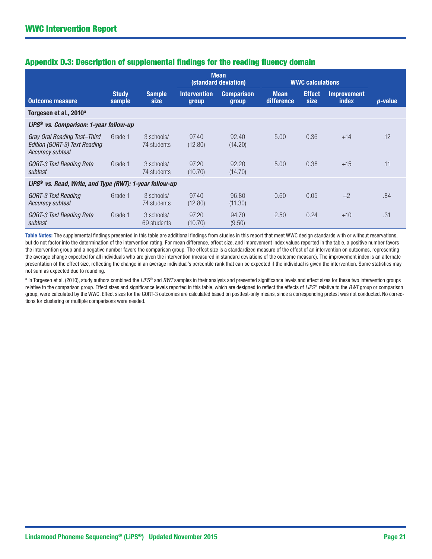|                                                                                                 |                        |                           |                              | <b>Mean</b><br>(standard deviation) |                           | <b>WWC calculations</b> |                                    |                 |
|-------------------------------------------------------------------------------------------------|------------------------|---------------------------|------------------------------|-------------------------------------|---------------------------|-------------------------|------------------------------------|-----------------|
| <b>Outcome measure</b>                                                                          | <b>Study</b><br>sample | <b>Sample</b><br>size     | <b>Intervention</b><br>group | <b>Comparison</b><br>group          | <b>Mean</b><br>difference | <b>Effect</b><br>size   | <b>Improvement</b><br><b>index</b> | <i>p</i> -value |
| Torgesen et al., 2010 <sup>a</sup>                                                              |                        |                           |                              |                                     |                           |                         |                                    |                 |
| LiPS <sup>®</sup> vs. Comparison: 1-year follow-up                                              |                        |                           |                              |                                     |                           |                         |                                    |                 |
| Gray Oral Reading Test-Third<br><b>Edition (GORT-3) Text Reading</b><br><b>Accuracy subtest</b> | Grade 1                | 3 schools/<br>74 students | 97.40<br>(12.80)             | 92.40<br>(14.20)                    | 5.00                      | 0.36                    | $+14$                              | .12             |
| <b>GORT-3 Text Reading Rate</b><br>subtest                                                      | Grade 1                | 3 schools/<br>74 students | 97.20<br>(10.70)             | 92.20<br>(14.70)                    | 5.00                      | 0.38                    | $+15$                              | .11             |
| LiPS <sup>®</sup> vs. Read, Write, and Type (RWT): 1-year follow-up                             |                        |                           |                              |                                     |                           |                         |                                    |                 |
| GORT-3 Text Reading<br><b>Accuracy subtest</b>                                                  | Grade 1                | 3 schools/<br>74 students | 97.40<br>(12.80)             | 96.80<br>(11.30)                    | 0.60                      | 0.05                    | $+2$                               | .84             |
| GORT-3 Text Reading Rate<br>subtest                                                             | Grade 1                | 3 schools/<br>69 students | 97.20<br>(10.70)             | 94.70<br>(9.50)                     | 2.50                      | 0.24                    | $+10$                              | .31             |

# Appendix D.3: Description of supplemental findings for the reading fluency domain

Table Notes: The supplemental findings presented in this table are additional findings from studies in this report that meet WWC design standards with or without reservations, but do not factor into the determination of the intervention rating. For mean difference, effect size, and improvement index values reported in the table, a positive number favors the intervention group and a negative number favors the comparison group. The effect size is a standardized measure of the effect of an intervention on outcomes, representing the average change expected for all individuals who are given the intervention (measured in standard deviations of the outcome measure). The improvement index is an alternate presentation of the effect size, reflecting the change in an average individual's percentile rank that can be expected if the individual is given the intervention. Some statistics may not sum as expected due to rounding.

a In Torgesen et al. (2010), study authors combined the *LiPS*® and *RWT* samples in their analysis and presented significance levels and effect sizes for these two intervention groups relative to the comparison group. Effect sizes and significance levels reported in this table, which are designed to reflect the effects of *LiPS*® relative to the *RWT* group or comparison group, were calculated by the WWC. Effect sizes for the GORT-3 outcomes are calculated based on posttest-only means, since a corresponding pretest was not conducted. No corrections for clustering or multiple comparisons were needed.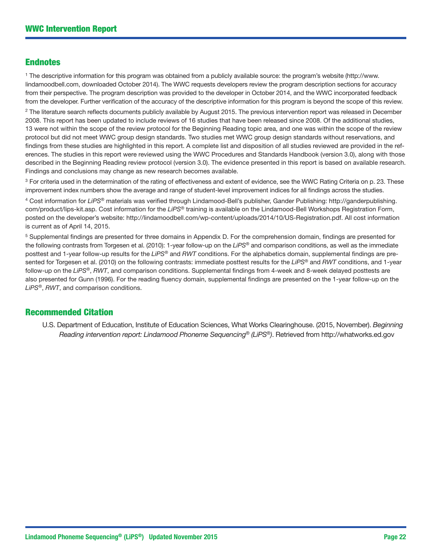# Endnotes

1 The descriptive information for this program was obtained from a publicly available source: the program's website ([http://www.](http://www.lindamoodbell.com) [lindamoodbell.com](http://www.lindamoodbell.com), downloaded October 2014). The WWC requests developers review the program description sections for accuracy from their perspective. The program description was provided to the developer in October 2014, and the WWC incorporated feedback from the developer. Further verification of the accuracy of the descriptive information for this program is beyond the scope of this review.

<sup>2</sup> The literature search reflects documents publicly available by August 2015. The previous intervention report was released in December 2008. This report has been updated to include reviews of 16 studies that have been released since 2008. Of the additional studies, 13 were not within the scope of the review protocol for the [Beginning Reading](http://ies.ed.gov/ncee/wwc/documentsum.aspx?sid=27) topic area, and one was within the scope of the review protocol but did not meet WWC group design standards. Two studies met WWC group design standards without reservations, and findings from these studies are highlighted in this report. A complete list and disposition of all studies reviewed are provided in the references. The studies in this report were reviewed using the [WWC Procedures and Standards Handbook](http://ies.ed.gov/ncee/wwc/DocumentSum.aspx?sid=19) (version 3.0), along with those described in the Beginning Reading review protocol (version 3.0). The evidence presented in this report is based on available research. Findings and conclusions may change as new research becomes available.

<sup>3</sup> For criteria used in the determination of the rating of effectiveness and extent of evidence, see the WWC Rating Criteria on p. 23. These improvement index numbers show the average and range of student-level improvement indices for all findings across the studies.

4 Cost information for *LiPS*® materials was verified through Lindamood-Bell's publisher, Gander Publishing: [http://ganderpublishing.](http://ganderpublishing.com/product/lips-kit.asp) [com/product/lips-kit.asp](http://ganderpublishing.com/product/lips-kit.asp). Cost information for the *LiPS*® training is available on the Lindamood-Bell Workshops Registration Form, posted on the developer's website: [http://lindamoodbell.com/wp-content/uploads/2014/10/US-Registration.pdf.](http://lindamoodbell.com/wp-content/uploads/2014/10/US-Registration.pdf) All cost information is current as of April 14, 2015.

5 Supplemental findings are presented for three domains in Appendix D. For the comprehension domain, findings are presented for the following contrasts from Torgesen et al. (2010): 1-year follow-up on the *LiPS®* and comparison conditions, as well as the immediate posttest and 1-year follow-up results for the *LiPS*® and *RWT* conditions. For the alphabetics domain, supplemental findings are presented for Torgesen et al. (2010) on the following contrasts: immediate posttest results for the *LiPS*® and *RWT* conditions, and 1-year follow-up on the *LiPS*®, *RWT*, and comparison conditions. Supplemental findings from 4-week and 8-week delayed posttests are also presented for Gunn (1996). For the reading fluency domain, supplemental findings are presented on the 1-year follow-up on the *LiPS*®, *RWT*, and comparison conditions.

# Recommended Citation

U.S. Department of Education, Institute of Education Sciences, What Works Clearinghouse. (2015, November). *Beginning Reading intervention report: Lindamood Phoneme Sequencing*® *(LiPS*®*)*. Retrieved from <http://whatworks.ed.gov>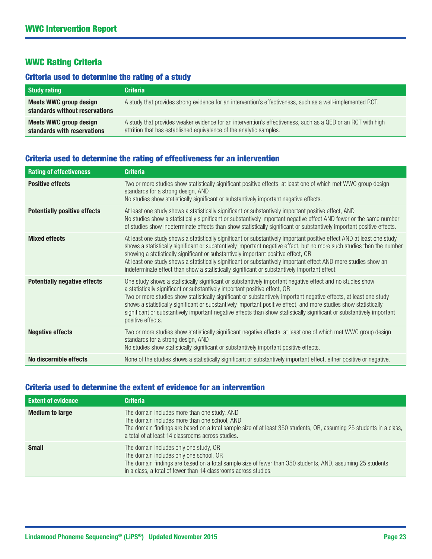# WWC Rating Criteria

# Criteria used to determine the rating of a study

| <b>Study rating</b>                                      | <b>Criteria</b>                                                                                                                                                                     |
|----------------------------------------------------------|-------------------------------------------------------------------------------------------------------------------------------------------------------------------------------------|
| Meets WWC group design<br>standards without reservations | A study that provides strong evidence for an intervention's effectiveness, such as a well-implemented RCT.                                                                          |
| Meets WWC group design<br>standards with reservations    | A study that provides weaker evidence for an intervention's effectiveness, such as a QED or an RCT with high<br>attrition that has established equivalence of the analytic samples. |

# Criteria used to determine the rating of effectiveness for an intervention

| <b>Rating of effectiveness</b>      | <b>Criteria</b>                                                                                                                                                                                                                                                                                                                                                                                                                                                                                                                                                                    |
|-------------------------------------|------------------------------------------------------------------------------------------------------------------------------------------------------------------------------------------------------------------------------------------------------------------------------------------------------------------------------------------------------------------------------------------------------------------------------------------------------------------------------------------------------------------------------------------------------------------------------------|
| <b>Positive effects</b>             | Two or more studies show statistically significant positive effects, at least one of which met WWC group design<br>standards for a strong design, AND<br>No studies show statistically significant or substantively important negative effects.                                                                                                                                                                                                                                                                                                                                    |
| <b>Potentially positive effects</b> | At least one study shows a statistically significant or substantively important positive effect, AND<br>No studies show a statistically significant or substantively important negative effect AND fewer or the same number<br>of studies show indeterminate effects than show statistically significant or substantively important positive effects.                                                                                                                                                                                                                              |
| <b>Mixed effects</b>                | At least one study shows a statistically significant or substantively important positive effect AND at least one study<br>shows a statistically significant or substantively important negative effect, but no more such studies than the number<br>showing a statistically significant or substantively important positive effect, OR<br>At least one study shows a statistically significant or substantively important effect AND more studies show an<br>indeterminate effect than show a statistically significant or substantively important effect.                         |
| <b>Potentially negative effects</b> | One study shows a statistically significant or substantively important negative effect and no studies show<br>a statistically significant or substantively important positive effect, OR<br>Two or more studies show statistically significant or substantively important negative effects, at least one study<br>shows a statistically significant or substantively important positive effect, and more studies show statistically<br>significant or substantively important negative effects than show statistically significant or substantively important<br>positive effects. |
| <b>Negative effects</b>             | Two or more studies show statistically significant negative effects, at least one of which met WWC group design<br>standards for a strong design, AND<br>No studies show statistically significant or substantively important positive effects.                                                                                                                                                                                                                                                                                                                                    |
| No discernible effects              | None of the studies shows a statistically significant or substantively important effect, either positive or negative.                                                                                                                                                                                                                                                                                                                                                                                                                                                              |

# Criteria used to determine the extent of evidence for an intervention

| <b>Extent of evidence</b> | <b>Criteria</b>                                                                                                                                                                                                                                                           |
|---------------------------|---------------------------------------------------------------------------------------------------------------------------------------------------------------------------------------------------------------------------------------------------------------------------|
| <b>Medium to large</b>    | The domain includes more than one study, AND<br>The domain includes more than one school, AND<br>The domain findings are based on a total sample size of at least 350 students, OR, assuming 25 students in a class,<br>a total of at least 14 classrooms across studies. |
| <b>Small</b>              | The domain includes only one study, OR<br>The domain includes only one school, OR<br>The domain findings are based on a total sample size of fewer than 350 students, AND, assuming 25 students<br>in a class, a total of fewer than 14 classrooms across studies.        |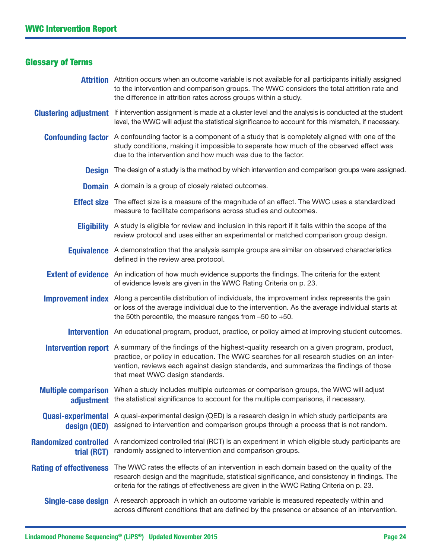# Glossary of Terms

- **Attrition** Attrition occurs when an outcome variable is not available for all participants initially assigned to the intervention and comparison groups. The WWC considers the total attrition rate and the difference in attrition rates across groups within a study.
- Clustering adjustment If intervention assignment is made at a cluster level and the analysis is conducted at the student level, the WWC will adjust the statistical significance to account for this mismatch, if necessary.
	- Confounding factor A confounding factor is a component of a study that is completely aligned with one of the study conditions, making it impossible to separate how much of the observed effect was due to the intervention and how much was due to the factor.
		- **Design** The design of a study is the method by which intervention and comparison groups were assigned.
		- **Domain** A domain is a group of closely related outcomes.
		- **Effect size** The effect size is a measure of the magnitude of an effect. The WWC uses a standardized measure to facilitate comparisons across studies and outcomes.
		- **Eligibility** A study is eligible for review and inclusion in this report if it falls within the scope of the review protocol and uses either an experimental or matched comparison group design.
		- **Equivalence** A demonstration that the analysis sample groups are similar on observed characteristics defined in the review area protocol.
	- **Extent of evidence** An indication of how much evidence supports the findings. The criteria for the extent of evidence levels are given in the WWC Rating Criteria on p. 23.
	- Improvement index Along a percentile distribution of individuals, the improvement index represents the gain or loss of the average individual due to the intervention. As the average individual starts at the 50th percentile, the measure ranges from –50 to +50.
		- **Intervention** An educational program, product, practice, or policy aimed at improving student outcomes.
	- **Intervention report** A summary of the findings of the highest-quality research on a given program, product, practice, or policy in education. The WWC searches for all research studies on an intervention, reviews each against design standards, and summarizes the findings of those that meet WWC design standards.
	- **Multiple comparison** When a study includes multiple outcomes or comparison groups, the WWC will adjust adjustment the statistical significance to account for the multiple comparisons, if necessary.
	- Quasi-experimental A quasi-experimental design (QED) is a research design in which study participants are design (QED) assigned to intervention and comparison groups through a process that is not random.
- Randomized controlled A randomized controlled trial (RCT) is an experiment in which eligible study participants are trial (RCT) randomly assigned to intervention and comparison groups.
- Rating of effectiveness The WWC rates the effects of an intervention in each domain based on the quality of the research design and the magnitude, statistical significance, and consistency in findings. The criteria for the ratings of effectiveness are given in the WWC Rating Criteria on p. 23.
	- Single-case design A research approach in which an outcome variable is measured repeatedly within and across different conditions that are defined by the presence or absence of an intervention.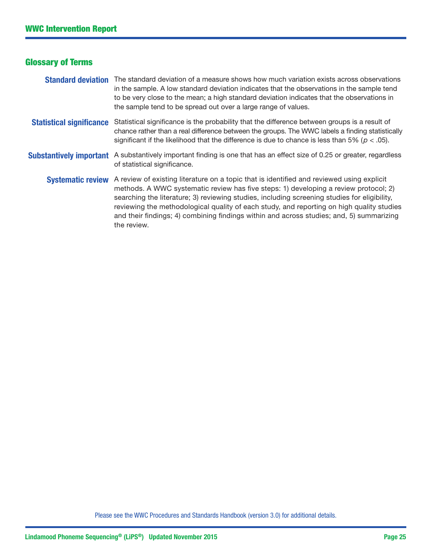# Glossary of Terms

#### **Standard deviation** The standard deviation of a measure shows how much variation exists across observations in the sample. A low standard deviation indicates that the observations in the sample tend to be very close to the mean; a high standard deviation indicates that the observations in the sample tend to be spread out over a large range of values.

Statistical significance Statistical significance is the probability that the difference between groups is a result of chance rather than a real difference between the groups. The WWC labels a finding statistically significant if the likelihood that the difference is due to chance is less than 5% ( $p < .05$ ).

#### Substantively important A substantively important finding is one that has an effect size of 0.25 or greater, regardless of statistical significance.

Systematic review A review of existing literature on a topic that is identified and reviewed using explicit methods. A WWC systematic review has five steps: 1) developing a review protocol; 2) searching the literature; 3) reviewing studies, including screening studies for eligibility, reviewing the methodological quality of each study, and reporting on high quality studies and their findings; 4) combining findings within and across studies; and, 5) summarizing the review.

Please see the WWC Procedures and Standards Handbook (version 3.0) for additional details.